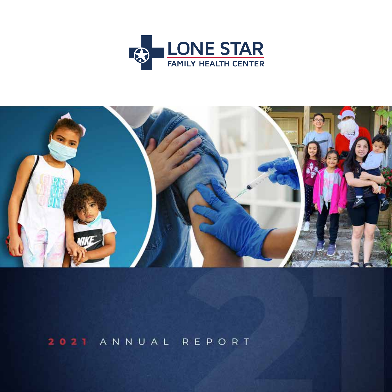



2021 ANNUAL REPORT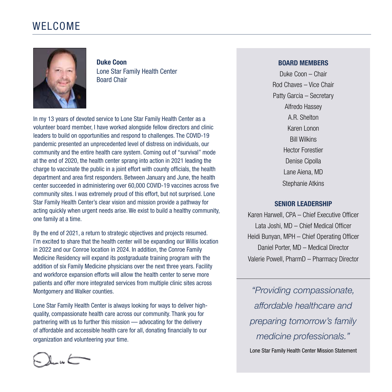### WELCOME



**Duke Coon** Lone Star Family Health Center Board Chair

In my 13 years of devoted service to Lone Star Family Health Center as a volunteer board member, I have worked alongside fellow directors and clinic leaders to build on opportunities and respond to challenges. The COVID-19 pandemic presented an unprecedented level of distress on individuals, our community and the entire health care system. Coming out of "survival" mode at the end of 2020, the health center sprang into action in 2021 leading the charge to vaccinate the public in a joint effort with county officials, the health department and area first responders. Between January and June, the health center succeeded in administering over 60,000 COVID-19 vaccines across five community sites. I was extremely proud of this effort, but not surprised. Lone Star Family Health Center's clear vision and mission provide a pathway for acting quickly when urgent needs arise. We exist to build a healthy community, one family at a time.

By the end of 2021, a return to strategic objectives and projects resumed. I'm excited to share that the health center will be expanding our Willis location in 2022 and our Conroe location in 2024. In addition, the Conroe Family Medicine Residency will expand its postgraduate training program with the addition of six Family Medicine physicians over the next three years. Facility and workforce expansion efforts will allow the health center to serve more patients and offer more integrated services from multiple clinic sites across Montgomery and Walker counties.

Lone Star Family Health Center is always looking for ways to deliver highquality, compassionate health care across our community. Thank you for partnering with us to further this mission — advocating for the delivery of affordable and accessible health care for all, donating financially to our organization and volunteering your time.

#### **BOARD MEMBERS**

Duke Coon – Chair Rod Chaves – Vice Chair Patty Garcia – Secretary Alfredo Hassey A.R. Shelton Karen Lonon Bill Wilkins Hector Forestier Denise Cipolla Lane Aiena, MD Stephanie Atkins

#### **SENIOR LEADERSHIP**

Karen Harwell, CPA – Chief Executive Officer Lata Joshi, MD – Chief Medical Officer Heidi Bunyan, MPH – Chief Operating Officer Daniel Porter, MD – Medical Director Valerie Powell, PharmD – Pharmacy Director

*"Providing compassionate, affordable healthcare and preparing tomorrow's family medicine professionals."* Lone Star Family Health Center Mission Statement

 $\lambda_{\mu\nu}$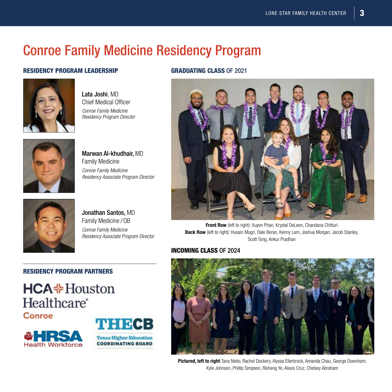# Conroe Family Medicine Residency Program

#### RESIDENCY PROGRAM LEADERSHIP GRADUATING CLASS OF 2021



Lata Joshi, MD Chief Medical Officer *Conroe Family Medicine Residency Program Director*



Marwan Al-khudhair, MD Family Medicine *Conroe Family Medicine Residency Associate Program Director*



Jonathan Santos, MD Family Medicine / OB *Conroe Family Medicine Residency Associate Program Director*



Front Row (left to right): Xuyen Phan, Krystal DeLeon, Chandana Chitturi Back Row (left to right): Husain Mogri, Dale Beran, Kenny Lam, Joshua Morgan, Jacob Stanley, Scott Tong, Ankur Pradhan

#### INCOMING CLASS OF 2024



Pictured, left to right: Tana Nieto, Rachel Dockery, Alyssa Ellerbrock, Amanda Chau, George Downham, Kyle Johnson, Phillip Simpson, Risheng Ye, Alexis Cruz, Chelsey Abraham

### RESIDENCY PROGRAM PARTNERS

# **HCA**  Houston **Healthcare**®





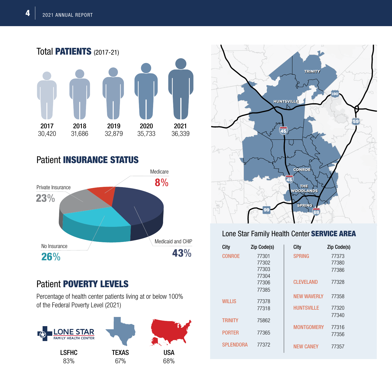

Patient INSURANCE STATUS



## Patient POVERTY LEVELS

Percentage of health center patients living at or below 100% of the Federal Poverty Level (2021)





### Lone Star Family Health Center SERVICE AREA

| City             | Zip Code(s) | City               | Zip Code(s) |
|------------------|-------------|--------------------|-------------|
| <b>CONROE</b>    | 77301       | <b>SPRING</b>      | 77373       |
|                  | 77302       |                    | 77380       |
|                  | 77303       |                    | 77386       |
|                  | 77304       |                    |             |
|                  | 77306       | <b>CLEVELAND</b>   | 77328       |
|                  | 77385       |                    |             |
| WILLIS           | 77378       | <b>NEW WAVERLY</b> | 77358       |
|                  | 77318       | <b>HUNTSVILLE</b>  | 77320       |
|                  |             |                    | 77340       |
| TRINITY          | 75862       |                    |             |
|                  |             | <b>MONTGOMERY</b>  | 77316       |
| <b>PORTER</b>    | 77365       |                    | 77356       |
| <b>SPLENDORA</b> | 77372       | <b>NEW CANEY</b>   | 77357       |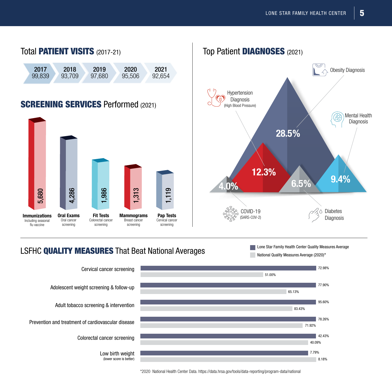

### LSFHC QUALITY MEASURES That Beat National Averages



\*2020 National Health Center Data. https://data.hrsa.gov/tools/data-reporting/program-data/national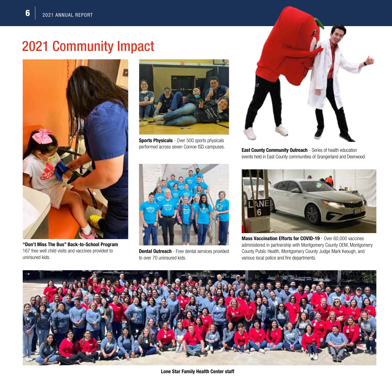# 2021 Community Impact



**"Don't Miss The Bus" Back-to-School Program** 167 free well child visits and vaccines provided to uninsured kids.



**Sports Physicals** - Over 500 sports physicals performed across seven Conroe ISD campuses.



**Dental Outreach** - Free dental services provided to over 70 uninsured kids.



**East County Community Outreach** - Series of health education events held in East County communities of Grangerland and Deerwood.



**Mass Vaccination Efforts for COVID-19** - Over 60,000 vaccines administered in partnership with Montgomery County OEM, Montgomery County Public Health, Montgomery County Judge Mark Keough, and various local police and fire departments.



**Lone Star Family Health Center staff**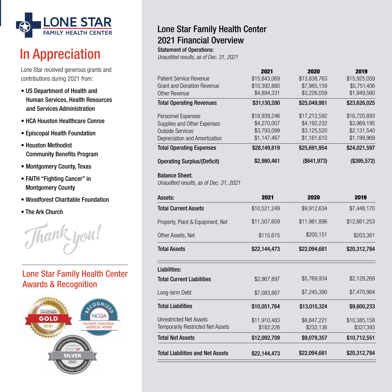

# In Appreciation

Lone Star received generous grants and contributions during 2021 from:

- US Department of Health and Human Services, Health Resources and Services Administration
- HCA Houston Healthcare Conroe
- Episcopal Health Foundation
- Houston Methodist Community Benefits Program
- Montgomery County, Texas
- FAITH "Fighting Cancer" in Montgomery County
- Woodforest Charitable Foundation
- The Ark Church



### Lone Star Family Health Center Awards & Recognition



### Lone Star Family Health Center 2021 Financial Overview

#### Statement of Operations:

*Unaudited results, as of Dec. 31, 2021*

| <b>Total Liabilities and Net Assets</b>                             | \$22,144,473               | \$22,094,681               | \$20,312,784               |
|---------------------------------------------------------------------|----------------------------|----------------------------|----------------------------|
| <b>Total Net Assets</b>                                             | \$12,092,709               | \$9,079,357                | \$10,712,551               |
| <b>Unrestricted Net Assets</b><br>Temporarily Restricted Net Assets | \$11,910,483<br>\$182,226  | \$8,847,221<br>\$232,136   | \$10,385,158<br>\$327,393  |
| <b>Total Liabilities</b>                                            | \$10,051,764               | \$13,015,324               | \$9,600,233                |
| Long-term Debt                                                      | \$7,083,867                | \$7,245,390                | \$7,470,964                |
| <b>Total Current Liabilities</b>                                    | \$2,967,897                | \$5,769,934                | \$2,129,269                |
| Liabilities:                                                        |                            |                            |                            |
| <b>Total Assets</b>                                                 | \$22,144,473               | \$22,094,681               | \$20,312,784               |
| Other Assets, Net                                                   | \$115,615                  | \$200,151                  | \$203,361                  |
| Property, Plant & Equipment, Net                                    | \$11,507,609               | \$11,981,896               | \$12,661,253               |
| <b>Total Current Assets</b>                                         | \$10,521,249               | \$9,912,634                | \$7,448,170                |
| Assets:                                                             | 2021                       | 2020                       | 2019                       |
| <b>Balance Sheet:</b><br>Unaudited results, as of Dec. 31, 2021     |                            |                            |                            |
| <b>Operating Surplus/(Deficit)</b>                                  | \$2,980,461                | (\$641,973)                | (\$395,572)                |
| <b>Total Operating Expenses</b>                                     | \$28,149,819               | \$25,691,954               | \$24,021,597               |
| Depreciation and Amortization                                       | \$1,147,467                | \$1,161,610                | \$1,199,969                |
| Supplies and Other Expenses<br><b>Outside Services</b>              | \$4,270,007<br>\$3,793,099 | \$4,192,232<br>\$3,125,520 | \$3,969,195<br>\$2,131,540 |
| Personnel Expenses                                                  | \$18,939,246               | \$17,212,592               | \$16,720,893               |
| <b>Total Operating Revenues</b>                                     | \$31,130,280               | \$25,049,981               | \$23,626,025               |
| Other Revenue                                                       | \$4,894,331                | \$3,226,059                | \$1,949,560                |
| <b>Grant and Donation Revenue</b>                                   | \$10,392,880               | \$7,985,159                | \$5,751,406                |
| <b>Patient Service Revenue</b>                                      | 2021<br>\$15,843,069       | 2020<br>\$13,838,763       | 2019<br>\$15,925,059       |